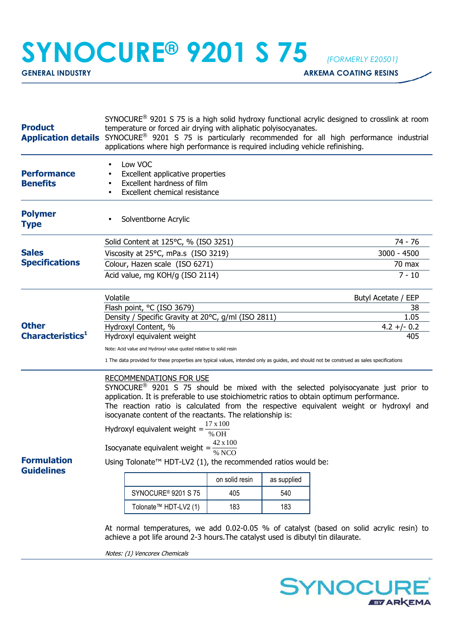## **SYNOCURE® 9201 S 75** *(FORMERLY E20501)*

**GENERAL INDUSTRY GENERAL INDUSTRY** 

| <b>Product</b>                               | SYNOCURE <sup>®</sup> 9201 S 75 is a high solid hydroxy functional acrylic designed to crosslink at room<br>temperature or forced air drying with aliphatic polyisocyanates.<br>Application details SYNOCURE <sup>®</sup> 9201 S 75 is particularly recommended for all high performance industrial<br>applications where high performance is required including vehicle refinishing.                                                                                                                                                                                                                                                                                               |                                                                                  |                       |     |                                                                                          |  |
|----------------------------------------------|-------------------------------------------------------------------------------------------------------------------------------------------------------------------------------------------------------------------------------------------------------------------------------------------------------------------------------------------------------------------------------------------------------------------------------------------------------------------------------------------------------------------------------------------------------------------------------------------------------------------------------------------------------------------------------------|----------------------------------------------------------------------------------|-----------------------|-----|------------------------------------------------------------------------------------------|--|
| <b>Performance</b><br><b>Benefits</b>        | Low VOC<br>Excellent applicative properties<br>Excellent hardness of film<br>Excellent chemical resistance                                                                                                                                                                                                                                                                                                                                                                                                                                                                                                                                                                          |                                                                                  |                       |     |                                                                                          |  |
| <b>Polymer</b><br><b>Type</b>                | Solventborne Acrylic                                                                                                                                                                                                                                                                                                                                                                                                                                                                                                                                                                                                                                                                |                                                                                  |                       |     |                                                                                          |  |
| <b>Sales</b><br><b>Specifications</b>        |                                                                                                                                                                                                                                                                                                                                                                                                                                                                                                                                                                                                                                                                                     | Solid Content at 125°C, % (ISO 3251)                                             | 74 - 76               |     |                                                                                          |  |
|                                              |                                                                                                                                                                                                                                                                                                                                                                                                                                                                                                                                                                                                                                                                                     | Viscosity at 25°C, mPa.s (ISO 3219)                                              | 3000 - 4500           |     |                                                                                          |  |
|                                              |                                                                                                                                                                                                                                                                                                                                                                                                                                                                                                                                                                                                                                                                                     | Colour, Hazen scale (ISO 6271)                                                   | $70$ max              |     |                                                                                          |  |
|                                              |                                                                                                                                                                                                                                                                                                                                                                                                                                                                                                                                                                                                                                                                                     | Acid value, mg KOH/g (ISO 2114)                                                  | $7 - 10$              |     |                                                                                          |  |
| <b>Other</b><br>Characteristics <sup>1</sup> | Volatile<br>Butyl Acetate / EEP                                                                                                                                                                                                                                                                                                                                                                                                                                                                                                                                                                                                                                                     |                                                                                  |                       |     |                                                                                          |  |
|                                              |                                                                                                                                                                                                                                                                                                                                                                                                                                                                                                                                                                                                                                                                                     | Flash point, °C (ISO 3679)                                                       | 38                    |     |                                                                                          |  |
|                                              |                                                                                                                                                                                                                                                                                                                                                                                                                                                                                                                                                                                                                                                                                     | Density / Specific Gravity at 20°C, g/ml (ISO 2811)<br>Hydroxyl Content, %       | 1.05<br>$4.2 +/- 0.2$ |     |                                                                                          |  |
|                                              |                                                                                                                                                                                                                                                                                                                                                                                                                                                                                                                                                                                                                                                                                     | Hydroxyl equivalent weight                                                       | 405                   |     |                                                                                          |  |
|                                              | Note: Acid value and Hydroxyl value quoted relative to solid resin                                                                                                                                                                                                                                                                                                                                                                                                                                                                                                                                                                                                                  |                                                                                  |                       |     |                                                                                          |  |
|                                              | 1 The data provided for these properties are typical values, intended only as guides, and should not be construed as sales specifications                                                                                                                                                                                                                                                                                                                                                                                                                                                                                                                                           |                                                                                  |                       |     |                                                                                          |  |
| <b>Formulation</b><br><b>Guidelines</b>      | <b>RECOMMENDATIONS FOR USE</b><br>SYNOCURE <sup>®</sup> 9201 S 75 should be mixed with the selected polyisocyanate just prior to<br>application. It is preferable to use stoichiometric ratios to obtain optimum performance.<br>The reaction ratio is calculated from the respective equivalent weight or hydroxyl and<br>isocyanate content of the reactants. The relationship is:<br>$17 \times 100$<br>Hydroxyl equivalent weight =<br>42 x 100<br>Isocyanate equivalent weight = $\frac{12444}{\% \text{ NCO}}$<br>Using Tolonate <sup>™</sup> HDT-LV2 (1), the recommended ratios would be:<br>as supplied<br>on solid resin<br>SYNOCURE <sup>®</sup> 9201 S 75<br>405<br>540 |                                                                                  |                       |     |                                                                                          |  |
|                                              |                                                                                                                                                                                                                                                                                                                                                                                                                                                                                                                                                                                                                                                                                     | Tolonate <sup>™</sup> HDT-LV2 (1)                                                | 183                   | 183 |                                                                                          |  |
|                                              |                                                                                                                                                                                                                                                                                                                                                                                                                                                                                                                                                                                                                                                                                     | achieve a pot life around 2-3 hours. The catalyst used is dibutyl tin dilaurate. |                       |     | At normal temperatures, we add 0.02-0.05 % of catalyst (based on solid acrylic resin) to |  |

Notes: (1) Vencorex Chemicals

**SYNOCURE EVARKEMA**